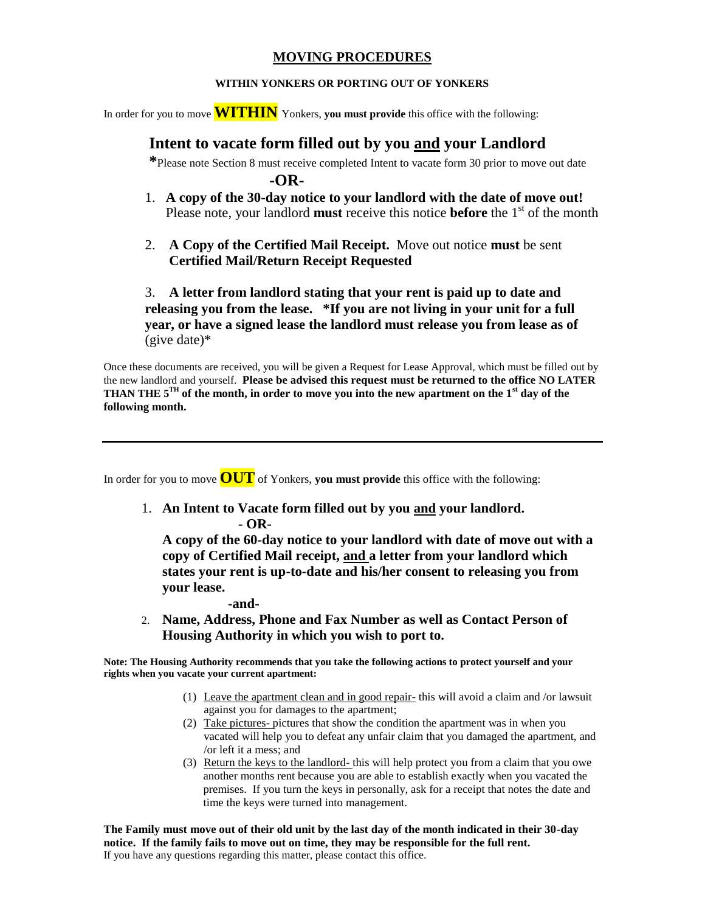#### **MOVING PROCEDURES**

#### **WITHIN YONKERS OR PORTING OUT OF YONKERS**

In order for you to move **WITHIN** Yonkers, **you must provide** this office with the following:

#### **Intent to vacate form filled out by you and your Landlord**

**\***Please note Section 8 must receive completed Intent to vacate form 30 prior to move out date **-OR-**

- 1. **A copy of the 30-day notice to your landlord with the date of move out!** Please note, your landlord **must** receive this notice **before** the 1<sup>st</sup> of the month
- 2. **A Copy of the Certified Mail Receipt.** Move out notice **must** be sent  **Certified Mail/Return Receipt Requested**

#### 3. **A letter from landlord stating that your rent is paid up to date and releasing you from the lease. \*If you are not living in your unit for a full year, or have a signed lease the landlord must release you from lease as of**  (give date)\*

Once these documents are received, you will be given a Request for Lease Approval, which must be filled out by the new landlord and yourself. **Please be advised this request must be returned to the office NO LATER THAN THE 5TH of the month, in order to move you into the new apartment on the 1st day of the following month.**

In order for you to move **OUT** of Yonkers, **you must provide** this office with the following:

1. **An Intent to Vacate form filled out by you and your landlord. - OR-**

**A copy of the 60-day notice to your landlord with date of move out with a copy of Certified Mail receipt, and a letter from your landlord which states your rent is up-to-date and his/her consent to releasing you from your lease.**

**-and-**

2. **Name, Address, Phone and Fax Number as well as Contact Person of Housing Authority in which you wish to port to.**

**Note: The Housing Authority recommends that you take the following actions to protect yourself and your rights when you vacate your current apartment:**

- (1) Leave the apartment clean and in good repair- this will avoid a claim and /or lawsuit against you for damages to the apartment;
- (2) Take pictures- pictures that show the condition the apartment was in when you vacated will help you to defeat any unfair claim that you damaged the apartment, and /or left it a mess; and
- (3) Return the keys to the landlord- this will help protect you from a claim that you owe another months rent because you are able to establish exactly when you vacated the premises. If you turn the keys in personally, ask for a receipt that notes the date and time the keys were turned into management.

**The Family must move out of their old unit by the last day of the month indicated in their 30-day notice. If the family fails to move out on time, they may be responsible for the full rent.** If you have any questions regarding this matter, please contact this office.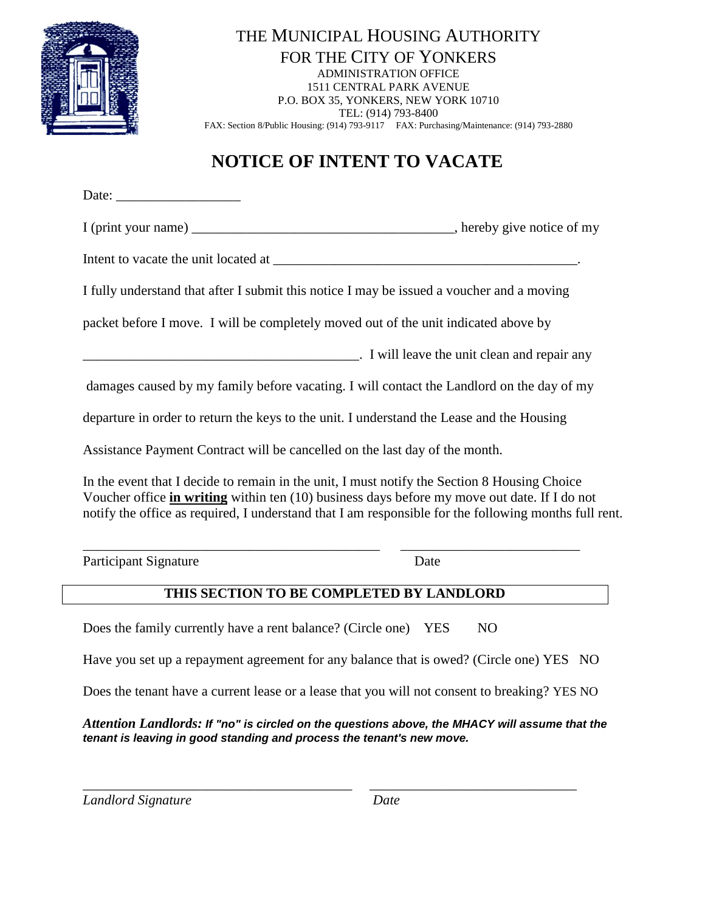

#### THE MUNICIPAL HOUSING AUTHORITY FOR THE CITY OF YONKERS ADMINISTRATION OFFICE 1511 CENTRAL PARK AVENUE P.O. BOX 35, YONKERS, NEW YORK 10710 TEL: (914) 793-8400 FAX: Section 8/Public Housing: (914) 793-9117 FAX: Purchasing/Maintenance: (914) 793-2880

### **NOTICE OF INTENT TO VACATE**

| Date: $\frac{1}{\sqrt{1-\frac{1}{2}}}\frac{1}{\sqrt{1-\frac{1}{2}}}\frac{1}{\sqrt{1-\frac{1}{2}}}\frac{1}{\sqrt{1-\frac{1}{2}}}\frac{1}{\sqrt{1-\frac{1}{2}}}\frac{1}{\sqrt{1-\frac{1}{2}}}\frac{1}{\sqrt{1-\frac{1}{2}}}\frac{1}{\sqrt{1-\frac{1}{2}}}\frac{1}{\sqrt{1-\frac{1}{2}}}\frac{1}{\sqrt{1-\frac{1}{2}}}\frac{1}{\sqrt{1-\frac{1}{2}}}\frac{1}{\sqrt{1-\frac{1}{2}}}\frac{1}{\sqrt{1-\frac{1}{2}}}\frac{1}{\$ |
|--------------------------------------------------------------------------------------------------------------------------------------------------------------------------------------------------------------------------------------------------------------------------------------------------------------------------------------------------------------------------------------------------------------------------|
|                                                                                                                                                                                                                                                                                                                                                                                                                          |
|                                                                                                                                                                                                                                                                                                                                                                                                                          |
| I fully understand that after I submit this notice I may be issued a voucher and a moving                                                                                                                                                                                                                                                                                                                                |
| packet before I move. I will be completely moved out of the unit indicated above by                                                                                                                                                                                                                                                                                                                                      |
| Twill leave the unit clean and repair any                                                                                                                                                                                                                                                                                                                                                                                |
| damages caused by my family before vacating. I will contact the Landlord on the day of my                                                                                                                                                                                                                                                                                                                                |
| departure in order to return the keys to the unit. I understand the Lease and the Housing                                                                                                                                                                                                                                                                                                                                |
| Assistance Payment Contract will be cancelled on the last day of the month.                                                                                                                                                                                                                                                                                                                                              |
| In the event that I decide to remain in the unit, I must notify the Section 8 Housing Choice<br>Voucher office in writing within ten $(10)$ business days before my move out date. If I do not<br>notify the office as required, I understand that I am responsible for the following months full rent.                                                                                                                  |

Participant Signature Date

#### **THIS SECTION TO BE COMPLETED BY LANDLORD**

\_\_\_\_\_\_\_\_\_\_\_\_\_\_\_\_\_\_\_\_\_\_\_\_\_\_\_\_\_\_\_\_\_\_\_\_\_\_\_\_\_\_\_ \_\_\_\_\_\_\_\_\_\_\_\_\_\_\_\_\_\_\_\_\_\_\_\_\_\_

Does the family currently have a rent balance? (Circle one) YES NO

Have you set up a repayment agreement for any balance that is owed? (Circle one) YES NO

Does the tenant have a current lease or a lease that you will not consent to breaking? YES NO

*Attention Landlords: If "no" is circled on the questions above, the MHACY will assume that the tenant is leaving in good standing and process the tenant's new move.*

*\_\_\_\_\_\_\_\_\_\_\_\_\_\_\_\_\_\_\_\_\_\_\_\_\_\_\_\_\_\_\_\_\_\_\_\_\_\_\_ \_\_\_\_\_\_\_\_\_\_\_\_\_\_\_\_\_\_\_\_\_\_\_\_\_\_\_\_\_\_*

*Landlord Signature Date*